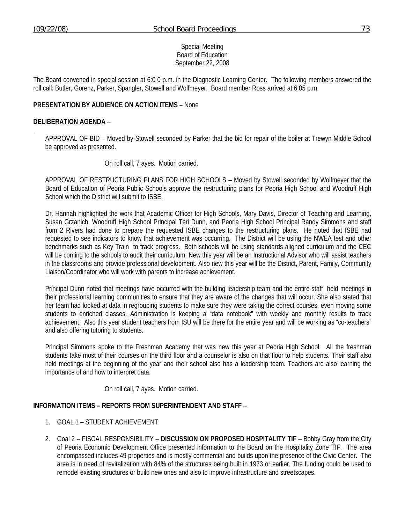.

## Special Meeting Board of Education September 22, 2008

The Board convened in special session at 6:0 0 p.m. in the Diagnostic Learning Center. The following members answered the roll call: Butler, Gorenz, Parker, Spangler, Stowell and Wolfmeyer. Board member Ross arrived at 6:05 p.m.

## **PRESENTATION BY AUDIENCE ON ACTION ITEMS –** None

#### **DELIBERATION AGENDA** –

APPROVAL OF BID – Moved by Stowell seconded by Parker that the bid for repair of the boiler at Trewyn Middle School be approved as presented.

#### On roll call, 7 ayes. Motion carried.

APPROVAL OF RESTRUCTURING PLANS FOR HIGH SCHOOLS – Moved by Stowell seconded by Wolfmeyer that the Board of Education of Peoria Public Schools approve the restructuring plans for Peoria High School and Woodruff High School which the District will submit to ISBE.

Dr. Hannah highlighted the work that Academic Officer for High Schools, Mary Davis, Director of Teaching and Learning, Susan Grzanich, Woodruff High School Principal Teri Dunn, and Peoria High School Principal Randy Simmons and staff from 2 Rivers had done to prepare the requested ISBE changes to the restructuring plans. He noted that ISBE had requested to see indicators to know that achievement was occurring. The District will be using the NWEA test and other benchmarks such as Key Train to track progress. Both schools will be using standards aligned curriculum and the CEC will be coming to the schools to audit their curriculum. New this year will be an Instructional Advisor who will assist teachers in the classrooms and provide professional development. Also new this year will be the District, Parent, Family, Community Liaison/Coordinator who will work with parents to increase achievement.

Principal Dunn noted that meetings have occurred with the building leadership team and the entire staff held meetings in their professional learning communities to ensure that they are aware of the changes that will occur. She also stated that her team had looked at data in regrouping students to make sure they were taking the correct courses, even moving some students to enriched classes. Administration is keeping a "data notebook" with weekly and monthly results to track achievement. Also this year student teachers from ISU will be there for the entire year and will be working as "co-teachers" and also offering tutoring to students.

Principal Simmons spoke to the Freshman Academy that was new this year at Peoria High School. All the freshman students take most of their courses on the third floor and a counselor is also on that floor to help students. Their staff also held meetings at the beginning of the year and their school also has a leadership team. Teachers are also learning the importance of and how to interpret data.

On roll call, 7 ayes. Motion carried.

# **INFORMATION ITEMS – REPORTS FROM SUPERINTENDENT AND STAFF** –

- 1. GOAL 1 STUDENT ACHIEVEMENT
- 2. Goal 2 FISCAL RESPONSIBILITY **DISCUSSION ON PROPOSED HOSPITALITY TIF** Bobby Gray from the City of Peoria Economic Development Office presented information to the Board on the Hospitality Zone TIF. The area encompassed includes 49 properties and is mostly commercial and builds upon the presence of the Civic Center. The area is in need of revitalization with 84% of the structures being built in 1973 or earlier. The funding could be used to remodel existing structures or build new ones and also to improve infrastructure and streetscapes.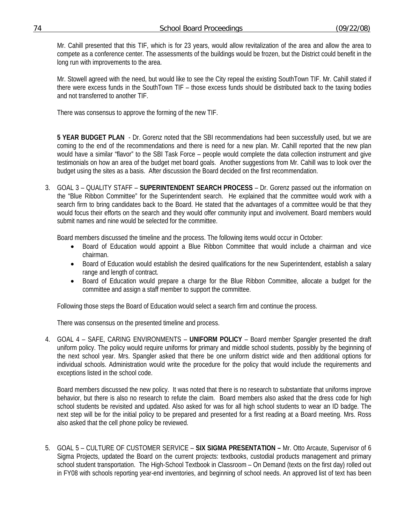Mr. Cahill presented that this TIF, which is for 23 years, would allow revitalization of the area and allow the area to compete as a conference center. The assessments of the buildings would be frozen, but the District could benefit in the long run with improvements to the area.

Mr. Stowell agreed with the need, but would like to see the City repeal the existing SouthTown TIF. Mr. Cahill stated if there were excess funds in the SouthTown TIF – those excess funds should be distributed back to the taxing bodies and not transferred to another TIF.

There was consensus to approve the forming of the new TIF.

**5 YEAR BUDGET PLAN** - Dr. Gorenz noted that the SBI recommendations had been successfully used, but we are coming to the end of the recommendations and there is need for a new plan. Mr. Cahill reported that the new plan would have a similar "flavor" to the SBI Task Force – people would complete the data collection instrument and give testimonials on how an area of the budget met board goals. Another suggestions from Mr. Cahill was to look over the budget using the sites as a basis. After discussion the Board decided on the first recommendation.

3. GOAL 3 – QUALITY STAFF – **SUPERINTENDENT SEARCH PROCESS** – Dr. Gorenz passed out the information on the "Blue Ribbon Committee" for the Superintendent search. He explained that the committee would work with a search firm to bring candidates back to the Board. He stated that the advantages of a committee would be that they would focus their efforts on the search and they would offer community input and involvement. Board members would submit names and nine would be selected for the committee.

Board members discussed the timeline and the process. The following items would occur in October:

- Board of Education would appoint a Blue Ribbon Committee that would include a chairman and vice chairman.
- Board of Education would establish the desired qualifications for the new Superintendent, establish a salary range and length of contract.
- Board of Education would prepare a charge for the Blue Ribbon Committee, allocate a budget for the committee and assign a staff member to support the committee.

Following those steps the Board of Education would select a search firm and continue the process.

There was consensus on the presented timeline and process.

4. GOAL 4 – SAFE, CARING ENVIRONMENTS – **UNIFORM POLICY** – Board member Spangler presented the draft uniform policy. The policy would require uniforms for primary and middle school students, possibly by the beginning of the next school year. Mrs. Spangler asked that there be one uniform district wide and then additional options for individual schools. Administration would write the procedure for the policy that would include the requirements and exceptions listed in the school code.

Board members discussed the new policy. It was noted that there is no research to substantiate that uniforms improve behavior, but there is also no research to refute the claim. Board members also asked that the dress code for high school students be revisited and updated. Also asked for was for all high school students to wear an ID badge. The next step will be for the initial policy to be prepared and presented for a first reading at a Board meeting. Mrs. Ross also asked that the cell phone policy be reviewed.

5. GOAL 5 – CULTURE OF CUSTOMER SERVICE – **SIX SIGMA PRESENTATION –** Mr. Otto Arcaute, Supervisor of 6 Sigma Projects, updated the Board on the current projects: textbooks, custodial products management and primary school student transportation. The High-School Textbook in Classroom – On Demand (texts on the first day) rolled out in FY08 with schools reporting year-end inventories, and beginning of school needs. An approved list of text has been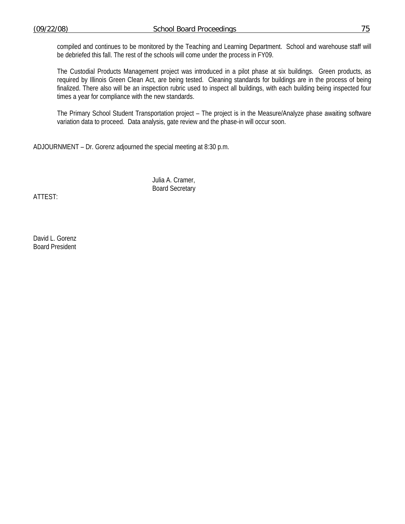compiled and continues to be monitored by the Teaching and Learning Department. School and warehouse staff will be debriefed this fall. The rest of the schools will come under the process in FY09.

The Custodial Products Management project was introduced in a pilot phase at six buildings. Green products, as required by Illinois Green Clean Act, are being tested. Cleaning standards for buildings are in the process of being finalized. There also will be an inspection rubric used to inspect all buildings, with each building being inspected four times a year for compliance with the new standards.

The Primary School Student Transportation project – The project is in the Measure/Analyze phase awaiting software variation data to proceed. Data analysis, gate review and the phase-in will occur soon.

ADJOURNMENT – Dr. Gorenz adjourned the special meeting at 8:30 p.m.

 Julia A. Cramer, Board Secretary

ATTEST:

David L. Gorenz Board President